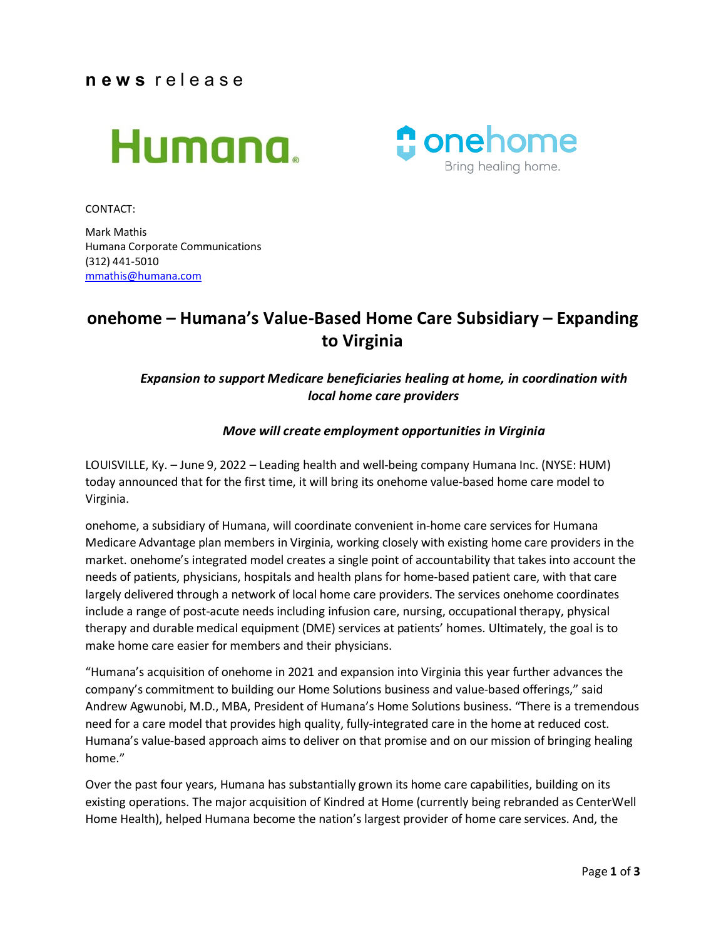# **n e w s** r e l e a s e





CONTACT:

Mark Mathis Humana Corporate Communications (312) 441-5010 [mmathis@humana.com](mailto:mmathis@humana.com) 

# **onehome – Humana's Value-Based Home Care Subsidiary – Expanding to Virginia**

## *Expansion to support Medicare beneficiaries healing at home, in coordination with local home care providers*

### *Move will create employment opportunities in Virginia*

LOUISVILLE, Ky. – June 9, 2022 – Leading health and well-being company Humana Inc. (NYSE: HUM) today announced that for the first time, it will bring its onehome value-based home care model to Virginia.

onehome, a subsidiary of Humana, will coordinate convenient in-home care services for Humana Medicare Advantage plan members in Virginia, working closely with existing home care providers in the market. onehome's integrated model creates a single point of accountability that takes into account the needs of patients, physicians, hospitals and health plans for home-based patient care, with that care largely delivered through a network of local home care providers. The services onehome coordinates include a range of post-acute needs including infusion care, nursing, occupational therapy, physical therapy and durable medical equipment (DME) services at patients' homes. Ultimately, the goal is to make home care easier for members and their physicians.

"Humana's acquisition of onehome in 2021 and expansion into Virginia this year further advances the company's commitment to building our Home Solutions business and value-based offerings," said Andrew Agwunobi, M.D., MBA, President of Humana's Home Solutions business. "There is a tremendous need for a care model that provides high quality, fully-integrated care in the home at reduced cost. Humana's value-based approach aims to deliver on that promise and on our mission of bringing healing home."

Over the past four years, Humana has substantially grown its home care capabilities, building on its existing operations. The major acquisition of Kindred at Home (currently being rebranded as CenterWell Home Health), helped Humana become the nation's largest provider of home care services. And, the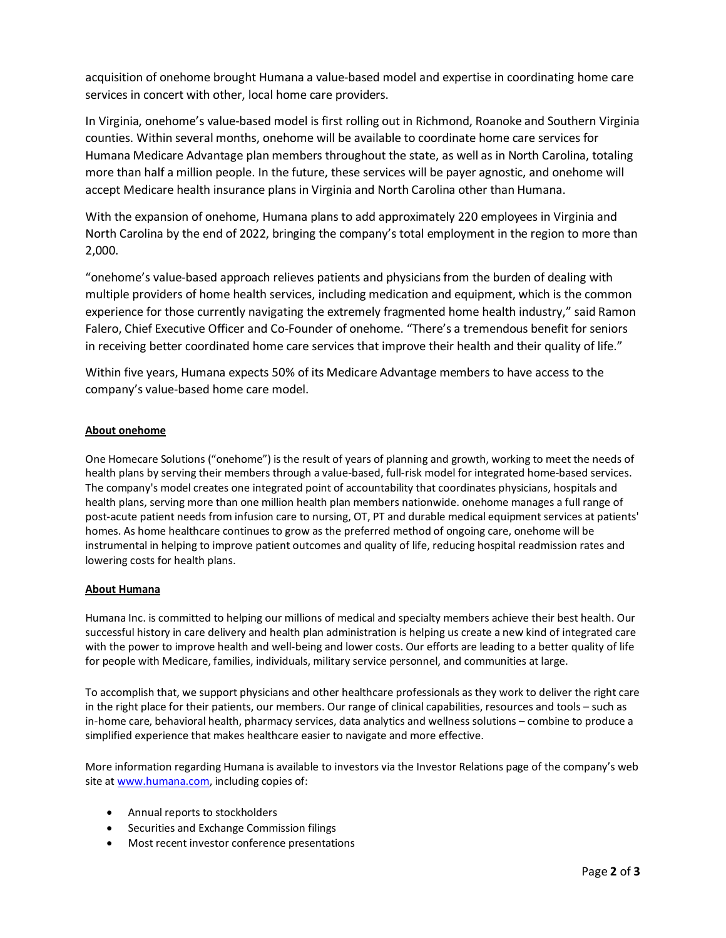acquisition of onehome brought Humana a value-based model and expertise in coordinating home care services in concert with other, local home care providers.

In Virginia, onehome's value-based model is first rolling out in Richmond, Roanoke and Southern Virginia counties. Within several months, onehome will be available to coordinate home care services for Humana Medicare Advantage plan members throughout the state, as well as in North Carolina, totaling more than half a million people. In the future, these services will be payer agnostic, and onehome will accept Medicare health insurance plans in Virginia and North Carolina other than Humana.

With the expansion of onehome, Humana plans to add approximately 220 employees in Virginia and North Carolina by the end of 2022, bringing the company's total employment in the region to more than 2,000.

"onehome's value-based approach relieves patients and physicians from the burden of dealing with multiple providers of home health services, including medication and equipment, which is the common experience for those currently navigating the extremely fragmented home health industry," said Ramon Falero, Chief Executive Officer and Co-Founder of onehome. "There's a tremendous benefit for seniors in receiving better coordinated home care services that improve their health and their quality of life."

Within five years, Humana expects 50% of its Medicare Advantage members to have access to the company's value-based home care model.

#### **About onehome**

One Homecare Solutions ("onehome") is the result of years of planning and growth, working to meet the needs of health plans by serving their members through a value-based, full-risk model for integrated home-based services. The company's model creates one integrated point of accountability that coordinates physicians, hospitals and health plans, serving more than one million health plan members nationwide. onehome manages a full range of post-acute patient needs from infusion care to nursing, OT, PT and durable medical equipment services at patients' homes. As home healthcare continues to grow as the preferred method of ongoing care, onehome will be instrumental in helping to improve patient outcomes and quality of life, reducing hospital readmission rates and lowering costs for health plans.

#### **About Humana**

Humana Inc. is committed to helping our millions of medical and specialty members achieve their best health. Our successful history in care delivery and health plan administration is helping us create a new kind of integrated care with the power to improve health and well-being and lower costs. Our efforts are leading to a better quality of life for people with Medicare, families, individuals, military service personnel, and communities at large.

To accomplish that, we support physicians and other healthcare professionals as they work to deliver the right care in the right place for their patients, our members. Our range of clinical capabilities, resources and tools – such as in-home care, behavioral health, pharmacy services, data analytics and wellness solutions – combine to produce a simplified experience that makes healthcare easier to navigate and more effective.

More information regarding Humana is available to investors via the Investor Relations page of the company's web site at [www.humana.com,](https://www.humana.com/) including copies of:

- Annual reports to stockholders
- Securities and Exchange Commission filings
- Most recent investor conference presentations